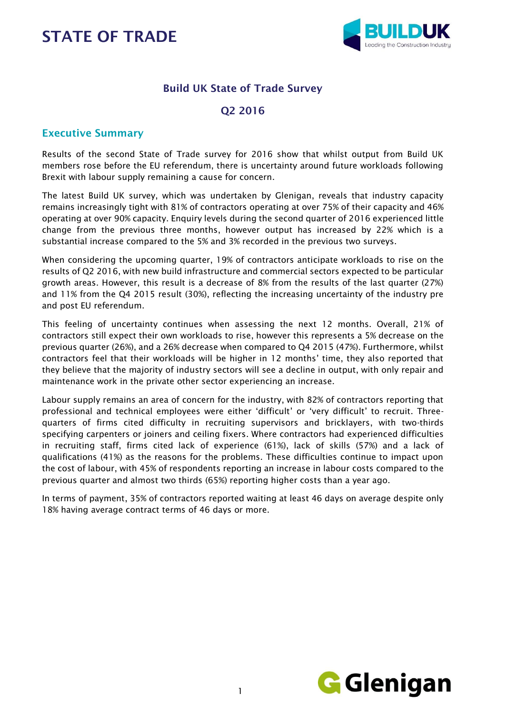

### Build UK State of Trade Survey

### Q2 2016

#### Executive Summary

Results of the second State of Trade survey for 2016 show that whilst output from Build UK members rose before the EU referendum, there is uncertainty around future workloads following Brexit with labour supply remaining a cause for concern.

The latest Build UK survey, which was undertaken by Glenigan, reveals that industry capacity remains increasingly tight with 81% of contractors operating at over 75% of their capacity and 46% operating at over 90% capacity. Enquiry levels during the second quarter of 2016 experienced little change from the previous three months, however output has increased by 22% which is a substantial increase compared to the 5% and 3% recorded in the previous two surveys.

When considering the upcoming quarter, 19% of contractors anticipate workloads to rise on the results of Q2 2016, with new build infrastructure and commercial sectors expected to be particular growth areas. However, this result is a decrease of 8% from the results of the last quarter (27%) and 11% from the Q4 2015 result (30%), reflecting the increasing uncertainty of the industry pre and post EU referendum.

This feeling of uncertainty continues when assessing the next 12 months. Overall, 21% of contractors still expect their own workloads to rise, however this represents a 5% decrease on the previous quarter (26%), and a 26% decrease when compared to Q4 2015 (47%). Furthermore, whilst contractors feel that their workloads will be higher in 12 months' time, they also reported that they believe that the majority of industry sectors will see a decline in output, with only repair and maintenance work in the private other sector experiencing an increase.

Labour supply remains an area of concern for the industry, with 82% of contractors reporting that professional and technical employees were either 'difficult' or 'very difficult' to recruit. Threequarters of firms cited difficulty in recruiting supervisors and bricklayers, with two-thirds specifying carpenters or joiners and ceiling fixers. Where contractors had experienced difficulties in recruiting staff, firms cited lack of experience (61%), lack of skills (57%) and a lack of qualifications (41%) as the reasons for the problems. These difficulties continue to impact upon the cost of labour, with 45% of respondents reporting an increase in labour costs compared to the previous quarter and almost two thirds (65%) reporting higher costs than a year ago.

In terms of payment, 35% of contractors reported waiting at least 46 days on average despite only 18% having average contract terms of 46 days or more.

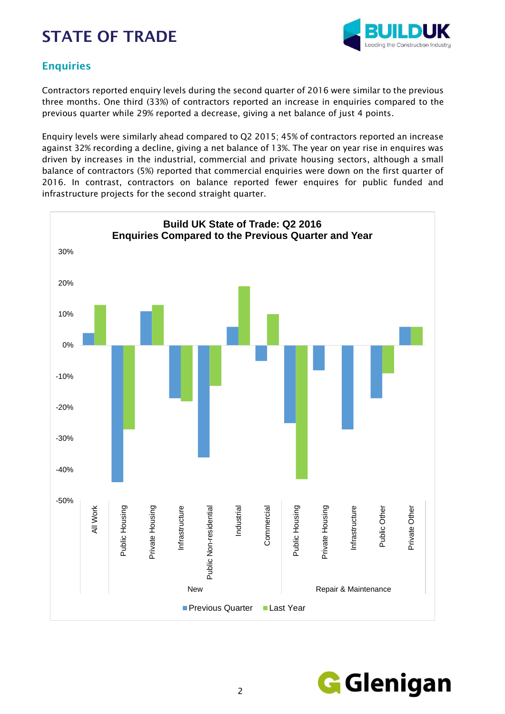

### **Enquiries**

Contractors reported enquiry levels during the second quarter of 2016 were similar to the previous three months. One third (33%) of contractors reported an increase in enquiries compared to the previous quarter while 29% reported a decrease, giving a net balance of just 4 points.

Enquiry levels were similarly ahead compared to Q2 2015; 45% of contractors reported an increase against 32% recording a decline, giving a net balance of 13%. The year on year rise in enquires was driven by increases in the industrial, commercial and private housing sectors, although a small balance of contractors (5%) reported that commercial enquiries were down on the first quarter of 2016. In contrast, contractors on balance reported fewer enquires for public funded and infrastructure projects for the second straight quarter.



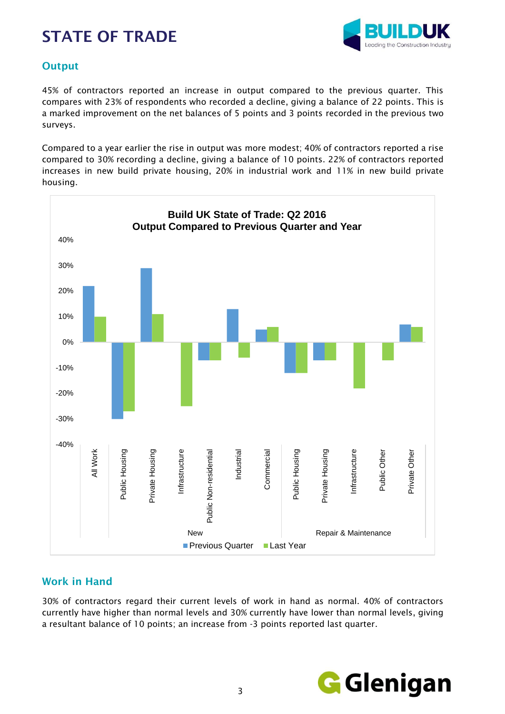

### **Output**

45% of contractors reported an increase in output compared to the previous quarter. This compares with 23% of respondents who recorded a decline, giving a balance of 22 points. This is a marked improvement on the net balances of 5 points and 3 points recorded in the previous two surveys.

Compared to a year earlier the rise in output was more modest; 40% of contractors reported a rise compared to 30% recording a decline, giving a balance of 10 points. 22% of contractors reported increases in new build private housing, 20% in industrial work and 11% in new build private housing.



### Work in Hand

30% of contractors regard their current levels of work in hand as normal. 40% of contractors currently have higher than normal levels and 30% currently have lower than normal levels, giving a resultant balance of 10 points; an increase from -3 points reported last quarter.

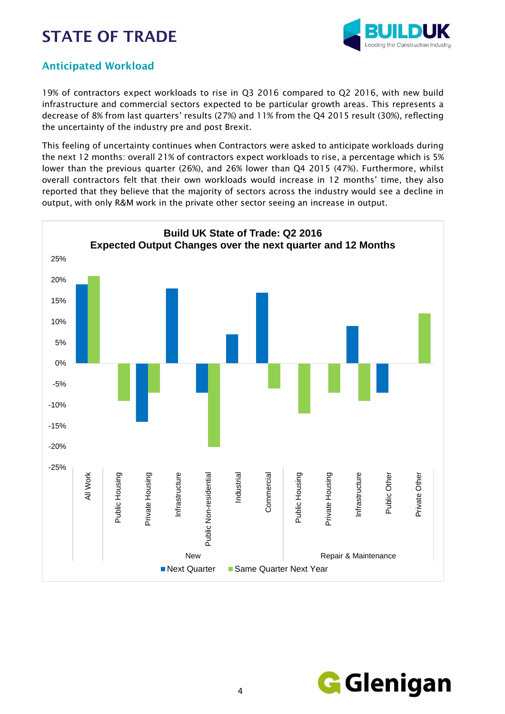

### Anticipated Workload

19% of contractors expect workloads to rise in Q3 2016 compared to Q2 2016, with new build infrastructure and commercial sectors expected to be particular growth areas. This represents a decrease of 8% from last quarters' results (27%) and 11% from the Q4 2015 result (30%), reflecting the uncertainty of the industry pre and post Brexit.

This feeling of uncertainty continues when Contractors were asked to anticipate workloads during the next 12 months: overall 21% of contractors expect workloads to rise, a percentage which is 5% lower than the previous quarter (26%), and 26% lower than Q4 2015 (47%). Furthermore, whilst overall contractors felt that their own workloads would increase in 12 months' time, they also reported that they believe that the majority of sectors across the industry would see a decline in output, with only R&M work in the private other sector seeing an increase in output.



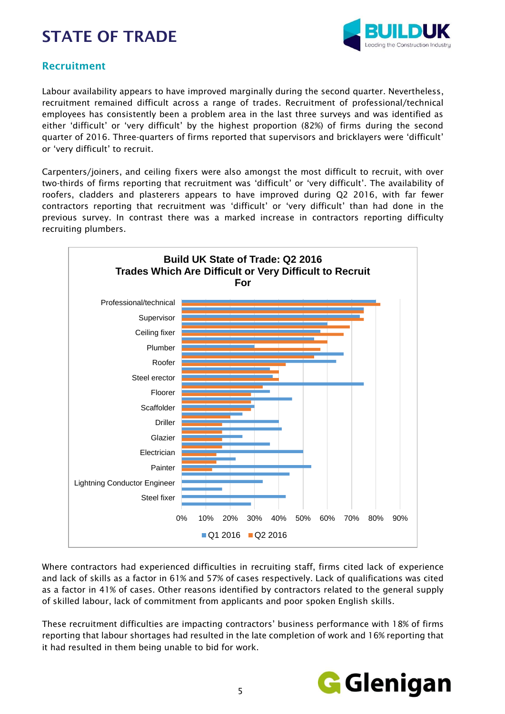

#### Recruitment

Labour availability appears to have improved marginally during the second quarter. Nevertheless, recruitment remained difficult across a range of trades. Recruitment of professional/technical employees has consistently been a problem area in the last three surveys and was identified as either 'difficult' or 'very difficult' by the highest proportion (82%) of firms during the second quarter of 2016. Three-quarters of firms reported that supervisors and bricklayers were 'difficult' or 'very difficult' to recruit.

Carpenters/joiners, and ceiling fixers were also amongst the most difficult to recruit, with over two-thirds of firms reporting that recruitment was 'difficult' or 'very difficult'. The availability of roofers, cladders and plasterers appears to have improved during Q2 2016, with far fewer contractors reporting that recruitment was 'difficult' or 'very difficult' than had done in the previous survey. In contrast there was a marked increase in contractors reporting difficulty recruiting plumbers.



Where contractors had experienced difficulties in recruiting staff, firms cited lack of experience and lack of skills as a factor in 61% and 57% of cases respectively. Lack of qualifications was cited as a factor in 41% of cases. Other reasons identified by contractors related to the general supply of skilled labour, lack of commitment from applicants and poor spoken English skills.

These recruitment difficulties are impacting contractors' business performance with 18% of firms reporting that labour shortages had resulted in the late completion of work and 16% reporting that it had resulted in them being unable to bid for work.

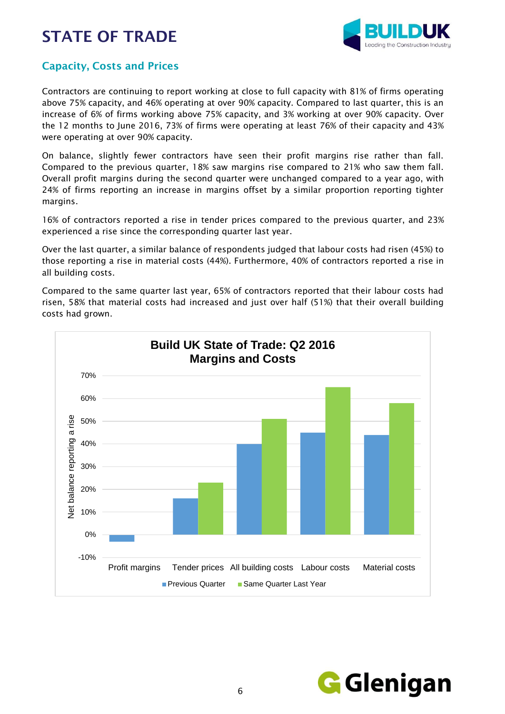

### Capacity, Costs and Prices

Contractors are continuing to report working at close to full capacity with 81% of firms operating above 75% capacity, and 46% operating at over 90% capacity. Compared to last quarter, this is an increase of 6% of firms working above 75% capacity, and 3% working at over 90% capacity. Over the 12 months to June 2016, 73% of firms were operating at least 76% of their capacity and 43% were operating at over 90% capacity.

On balance, slightly fewer contractors have seen their profit margins rise rather than fall. Compared to the previous quarter, 18% saw margins rise compared to 21% who saw them fall. Overall profit margins during the second quarter were unchanged compared to a year ago, with 24% of firms reporting an increase in margins offset by a similar proportion reporting tighter margins.

16% of contractors reported a rise in tender prices compared to the previous quarter, and 23% experienced a rise since the corresponding quarter last year.

Over the last quarter, a similar balance of respondents judged that labour costs had risen (45%) to those reporting a rise in material costs (44%). Furthermore, 40% of contractors reported a rise in all building costs.

Compared to the same quarter last year, 65% of contractors reported that their labour costs had risen, 58% that material costs had increased and just over half (51%) that their overall building costs had grown.